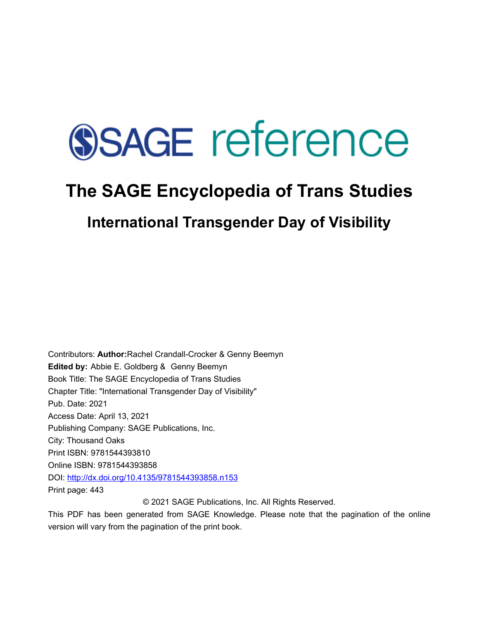## **SSAGE reference**

## **The SAGE Encyclopedia of Trans Studies**

## **International Transgender Day of Visibility**

Contributors: **Author:**Rachel Crandall-Crocker & Genny Beemyn **Edited by:** [Abbie E. Goldberg](javascript:void(0);) & [Genny Beemyn](javascript:void(0);)  Book Title: The SAGE Encyclopedia of Trans Studies Chapter Title: "International Transgender Day of Visibility" Pub. Date: 2021 Access Date: April 13, 2021 Publishing Company: SAGE Publications, Inc. City: Thousand Oaks Print ISBN: 9781544393810 Online ISBN: 9781544393858 DOI: <http://dx.doi.org/10.4135/9781544393858.n153> Print page: 443

© 2021 SAGE Publications, Inc. All Rights Reserved.

This PDF has been generated from SAGE Knowledge. Please note that the pagination of the online version will vary from the pagination of the print book.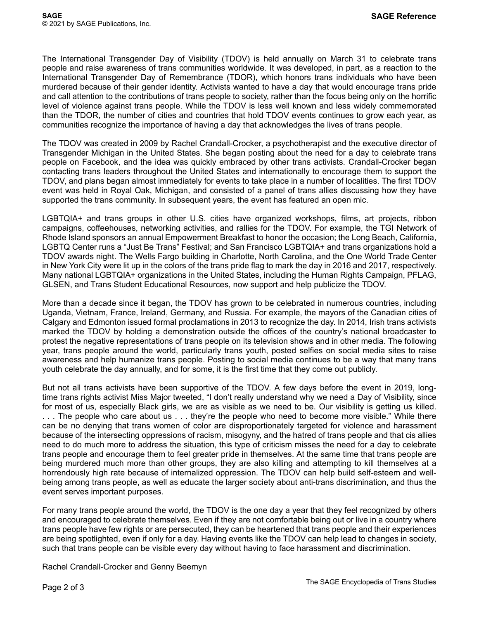The International Transgender Day of Visibility (TDOV) is held annually on March 31 to celebrate trans people and raise awareness of trans communities worldwide. It was developed, in part, as a reaction to the International Transgender Day of Remembrance (TDOR), which honors trans individuals who have been murdered because of their gender identity. Activists wanted to have a day that would encourage trans pride and call attention to the contributions of trans people to society, rather than the focus being only on the horrific level of violence against trans people. While the TDOV is less well known and less widely commemorated than the TDOR, the number of cities and countries that hold TDOV events continues to grow each year, as communities recognize the importance of having a day that acknowledges the lives of trans people.

The TDOV was created in 2009 by Rachel Crandall-Crocker, a psychotherapist and the executive director of Transgender Michigan in the United States. She began posting about the need for a day to celebrate trans people on Facebook, and the idea was quickly embraced by other trans activists. Crandall-Crocker began contacting trans leaders throughout the United States and internationally to encourage them to support the TDOV, and plans began almost immediately for events to take place in a number of localities. The first TDOV event was held in Royal Oak, Michigan, and consisted of a panel of trans allies discussing how they have supported the trans community. In subsequent years, the event has featured an open mic.

LGBTQIA+ and trans groups in other U.S. cities have organized workshops, films, art projects, ribbon campaigns, coffeehouses, networking activities, and rallies for the TDOV. For example, the TGI Network of Rhode Island sponsors an annual Empowerment Breakfast to honor the occasion; the Long Beach, California, LGBTQ Center runs a "Just Be Trans" Festival; and San Francisco LGBTQIA+ and trans organizations hold a TDOV awards night. The Wells Fargo building in Charlotte, North Carolina, and the One World Trade Center in New York City were lit up in the colors of the trans pride flag to mark the day in 2016 and 2017, respectively. Many national LGBTQIA+ organizations in the United States, including the Human Rights Campaign, PFLAG, GLSEN, and Trans Student Educational Resources, now support and help publicize the TDOV.

More than a decade since it began, the TDOV has grown to be celebrated in numerous countries, including Uganda, Vietnam, France, Ireland, Germany, and Russia. For example, the mayors of the Canadian cities of Calgary and Edmonton issued formal proclamations in 2013 to recognize the day. In 2014, Irish trans activists marked the TDOV by holding a demonstration outside the offices of the country's national broadcaster to protest the negative representations of trans people on its television shows and in other media. The following year, trans people around the world, particularly trans youth, posted selfies on social media sites to raise awareness and help humanize trans people. Posting to social media continues to be a way that many trans youth celebrate the day annually, and for some, it is the first time that they come out publicly.

But not all trans activists have been supportive of the TDOV. A few days before the event in 2019, longtime trans rights activist Miss Major tweeted, "I don't really understand why we need a Day of Visibility, since for most of us, especially Black girls, we are as visible as we need to be. Our visibility is getting us killed. . . . The people who care about us . . . they're the people who need to become more visible." While there can be no denying that trans women of color are disproportionately targeted for violence and harassment because of the intersecting oppressions of racism, misogyny, and the hatred of trans people and that cis allies need to do much more to address the situation, this type of criticism misses the need for a day to celebrate trans people and encourage them to feel greater pride in themselves. At the same time that trans people are being murdered much more than other groups, they are also killing and attempting to kill themselves at a horrendously high rate because of internalized oppression. The TDOV can help build self-esteem and wellbeing among trans people, as well as educate the larger society about anti-trans discrimination, and thus the event serves important purposes.

For many trans people around the world, the TDOV is the one day a year that they feel recognized by others and encouraged to celebrate themselves. Even if they are not comfortable being out or live in a country where trans people have few rights or are persecuted, they can be heartened that trans people and their experiences are being spotlighted, even if only for a day. Having events like the TDOV can help lead to changes in society, such that trans people can be visible every day without having to face harassment and discrimination.

Rachel Crandall-Crocker and Genny Beemyn